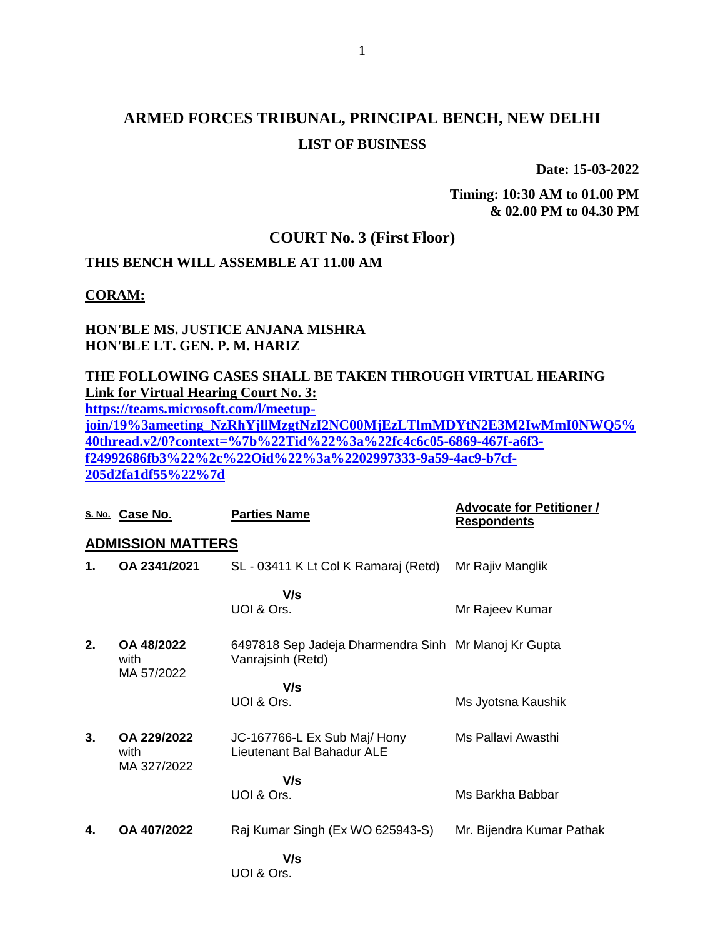# **ARMED FORCES TRIBUNAL, PRINCIPAL BENCH, NEW DELHI LIST OF BUSINESS**

**Date: 15-03-2022**

**Timing: 10:30 AM to 01.00 PM & 02.00 PM to 04.30 PM**

## **COURT No. 3 (First Floor)**

## **THIS BENCH WILL ASSEMBLE AT 11.00 AM**

**CORAM:**

### **HON'BLE MS. JUSTICE ANJANA MISHRA HON'BLE LT. GEN. P. M. HARIZ**

### **THE FOLLOWING CASES SHALL BE TAKEN THROUGH VIRTUAL HEARING Link for Virtual Hearing Court No. 3:**

**[https://teams.microsoft.com/l/meetup-](https://teams.microsoft.com/l/meetup-join/19%3ameeting_NzRhYjllMzgtNzI2NC00MjEzLTlmMDYtN2E3M2IwMmI0NWQ5%40thread.v2/0?context=%7b%22Tid%22%3a%22fc4c6c05-6869-467f-a6f3-f24992686fb3%22%2c%22Oid%22%3a%2202997333-9a59-4ac9-b7cf-205d2fa1df55%22%7d)**

**[join/19%3ameeting\\_NzRhYjllMzgtNzI2NC00MjEzLTlmMDYtN2E3M2IwMmI0NWQ5%](https://teams.microsoft.com/l/meetup-join/19%3ameeting_NzRhYjllMzgtNzI2NC00MjEzLTlmMDYtN2E3M2IwMmI0NWQ5%40thread.v2/0?context=%7b%22Tid%22%3a%22fc4c6c05-6869-467f-a6f3-f24992686fb3%22%2c%22Oid%22%3a%2202997333-9a59-4ac9-b7cf-205d2fa1df55%22%7d) [40thread.v2/0?context=%7b%22Tid%22%3a%22fc4c6c05-6869-467f-a6f3](https://teams.microsoft.com/l/meetup-join/19%3ameeting_NzRhYjllMzgtNzI2NC00MjEzLTlmMDYtN2E3M2IwMmI0NWQ5%40thread.v2/0?context=%7b%22Tid%22%3a%22fc4c6c05-6869-467f-a6f3-f24992686fb3%22%2c%22Oid%22%3a%2202997333-9a59-4ac9-b7cf-205d2fa1df55%22%7d) [f24992686fb3%22%2c%22Oid%22%3a%2202997333-9a59-4ac9-b7cf-](https://teams.microsoft.com/l/meetup-join/19%3ameeting_NzRhYjllMzgtNzI2NC00MjEzLTlmMDYtN2E3M2IwMmI0NWQ5%40thread.v2/0?context=%7b%22Tid%22%3a%22fc4c6c05-6869-467f-a6f3-f24992686fb3%22%2c%22Oid%22%3a%2202997333-9a59-4ac9-b7cf-205d2fa1df55%22%7d)[205d2fa1df55%22%7d](https://teams.microsoft.com/l/meetup-join/19%3ameeting_NzRhYjllMzgtNzI2NC00MjEzLTlmMDYtN2E3M2IwMmI0NWQ5%40thread.v2/0?context=%7b%22Tid%22%3a%22fc4c6c05-6869-467f-a6f3-f24992686fb3%22%2c%22Oid%22%3a%2202997333-9a59-4ac9-b7cf-205d2fa1df55%22%7d)**

|                          | S. No. Case No.                    | <b>Parties Name</b>                                                       | <b>Advocate for Petitioner /</b><br><b>Respondents</b> |  |  |  |
|--------------------------|------------------------------------|---------------------------------------------------------------------------|--------------------------------------------------------|--|--|--|
| <b>ADMISSION MATTERS</b> |                                    |                                                                           |                                                        |  |  |  |
| 1.                       | OA 2341/2021                       | SL - 03411 K Lt Col K Ramaraj (Retd)                                      | Mr Rajiv Manglik                                       |  |  |  |
|                          |                                    | V/s<br>UOI & Ors.                                                         | Mr Rajeev Kumar                                        |  |  |  |
| 2.                       | OA 48/2022<br>with<br>MA 57/2022   | 6497818 Sep Jadeja Dharmendra Sinh Mr Manoj Kr Gupta<br>Vanrajsinh (Retd) |                                                        |  |  |  |
|                          |                                    | V/s                                                                       |                                                        |  |  |  |
|                          |                                    | UOI & Ors.                                                                | Ms Jyotsna Kaushik                                     |  |  |  |
| 3.                       | OA 229/2022<br>with<br>MA 327/2022 | JC-167766-L Ex Sub Maj/ Hony<br>Lieutenant Bal Bahadur ALE                | Ms Pallavi Awasthi                                     |  |  |  |
|                          |                                    | V/s                                                                       |                                                        |  |  |  |
|                          |                                    | UOI & Ors.                                                                | Ms Barkha Babbar                                       |  |  |  |
| 4.                       | OA 407/2022                        | Raj Kumar Singh (Ex WO 625943-S)                                          | Mr. Bijendra Kumar Pathak                              |  |  |  |
|                          |                                    | V/s<br>UOI & Ors.                                                         |                                                        |  |  |  |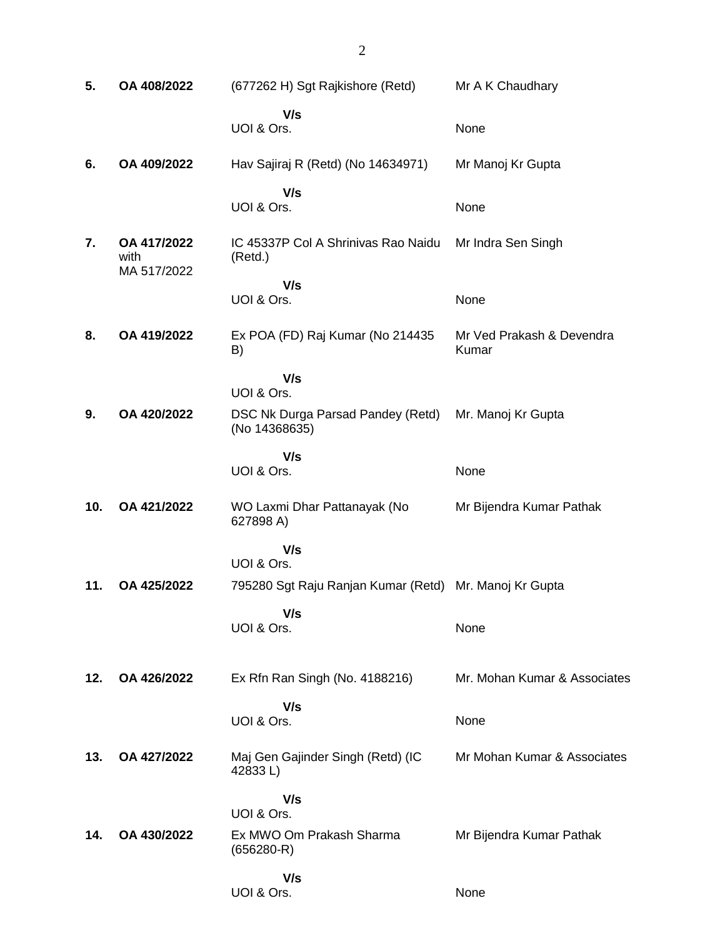| 5.  | OA 408/2022                        | (677262 H) Sgt Rajkishore (Retd)                       | Mr A K Chaudhary                   |
|-----|------------------------------------|--------------------------------------------------------|------------------------------------|
|     |                                    | V/s<br>UOI & Ors.                                      | None                               |
| 6.  | OA 409/2022                        | Hav Sajiraj R (Retd) (No 14634971)                     | Mr Manoj Kr Gupta                  |
|     |                                    | V/s<br>UOI & Ors.                                      | None                               |
| 7.  | OA 417/2022<br>with<br>MA 517/2022 | IC 45337P Col A Shrinivas Rao Naidu<br>(Retd.)         | Mr Indra Sen Singh                 |
|     |                                    | V/s<br>UOI & Ors.                                      | None                               |
| 8.  | OA 419/2022                        | Ex POA (FD) Raj Kumar (No 214435<br>B)                 | Mr Ved Prakash & Devendra<br>Kumar |
| 9.  | OA 420/2022                        | V/s<br>UOI & Ors.<br>DSC Nk Durga Parsad Pandey (Retd) | Mr. Manoj Kr Gupta                 |
|     |                                    | (No 14368635)                                          |                                    |
|     |                                    | V/s<br>UOI & Ors.                                      | None                               |
| 10. | OA 421/2022                        | WO Laxmi Dhar Pattanayak (No<br>627898 A)              | Mr Bijendra Kumar Pathak           |
|     |                                    | V/s<br>UOI & Ors.                                      |                                    |
| 11. | OA 425/2022                        | 795280 Sgt Raju Ranjan Kumar (Retd) Mr. Manoj Kr Gupta |                                    |
|     |                                    | V/s<br>UOI & Ors.                                      | None                               |
| 12. | OA 426/2022                        | Ex Rfn Ran Singh (No. 4188216)                         | Mr. Mohan Kumar & Associates       |
|     |                                    | V/s<br>UOI & Ors.                                      | None                               |
| 13. | OA 427/2022                        | Maj Gen Gajinder Singh (Retd) (IC<br>42833L)           | Mr Mohan Kumar & Associates        |
|     |                                    | V/s<br>UOI & Ors.                                      |                                    |
| 14. | OA 430/2022                        | Ex MWO Om Prakash Sharma<br>$(656280-R)$               | Mr Bijendra Kumar Pathak           |
|     |                                    | V/s<br>UOI & Ors.                                      | None                               |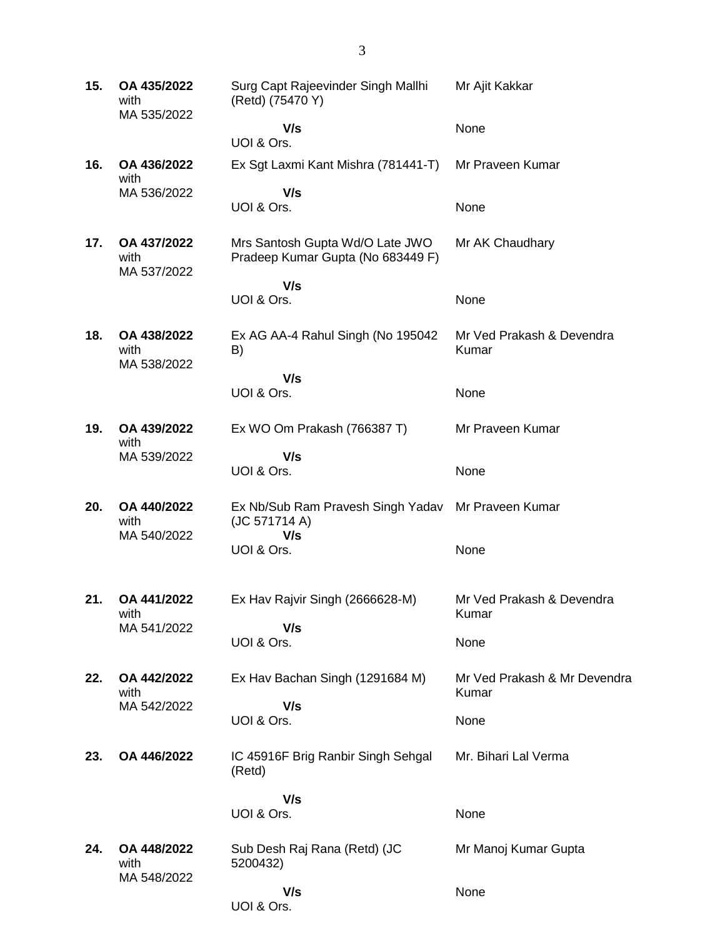**15. OA 435/2022** with MA 535/2022 Surg Capt Rajeevinder Singh Mallhi (Retd) (75470 Y)  **V/s** UOI & Ors. Mr Ajit Kakkar None **16. OA 436/2022** with MA 536/2022 Ex Sgt Laxmi Kant Mishra (781441-T)  **V/s** UOI & Ors. Mr Praveen Kumar **None 17. OA 437/2022** with MA 537/2022 Mrs Santosh Gupta Wd/O Late JWO Pradeep Kumar Gupta (No 683449 F)  **V/s** UOI & Ors. Mr AK Chaudhary None **18. OA 438/2022** with MA 538/2022 Ex AG AA-4 Rahul Singh (No 195042 B)  **V/s** UOI & Ors. Mr Ved Prakash & Devendra Kumar None **19. OA 439/2022** with MA 539/2022 Ex WO Om Prakash (766387 T)  **V/s** UOI & Ors. Mr Praveen Kumar None **20. OA 440/2022** with MA 540/2022 Ex Nb/Sub Ram Pravesh Singh Yadav (JC 571714 A)  **V/s** UOI & Ors. Mr Praveen Kumar None **21. OA 441/2022** with MA 541/2022 Ex Hav Rajvir Singh (2666628-M)  **V/s** UOI & Ors. Mr Ved Prakash & Devendra Kumar None **22. OA 442/2022** with MA 542/2022 Ex Hav Bachan Singh (1291684 M)  **V/s** UOI & Ors. Mr Ved Prakash & Mr Devendra Kumar None **23. OA 446/2022** IC 45916F Brig Ranbir Singh Sehgal (Retd)  **V/s** UOI & Ors. Mr. Bihari Lal Verma None **24. OA 448/2022** with MA 548/2022 Sub Desh Raj Rana (Retd) (JC 5200432)  **V/s** UOI & Ors. Mr Manoj Kumar Gupta None